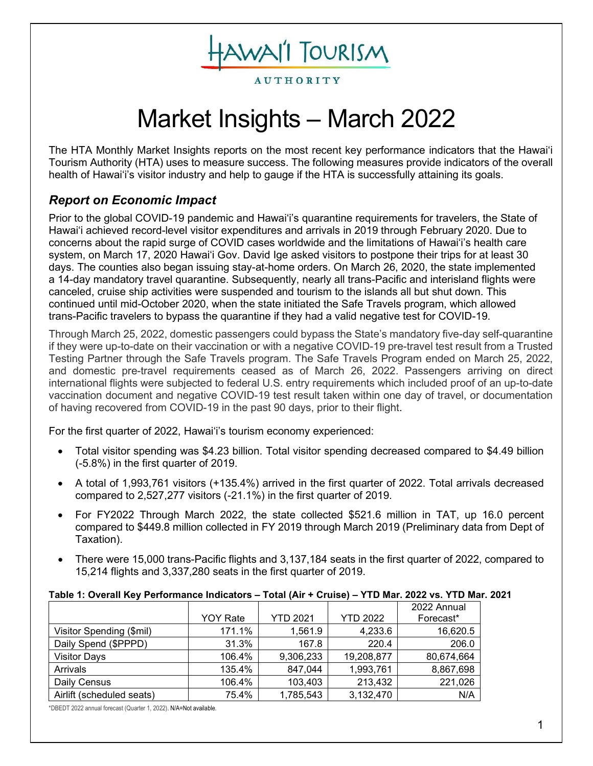**AUTHORITY** 

HAWAI'I TOURISM

# Market Insights – March 2022

The HTA Monthly Market Insights reports on the most recent key performance indicators that the Hawai'i Tourism Authority (HTA) uses to measure success. The following measures provide indicators of the overall health of Hawai'i's visitor industry and help to gauge if the HTA is successfully attaining its goals.

# *Report on Economic Impact*

Prior to the global COVID-19 pandemic and Hawai'i's quarantine requirements for travelers, the State of Hawai'i achieved record-level visitor expenditures and arrivals in 2019 through February 2020. Due to concerns about the rapid surge of COVID cases worldwide and the limitations of Hawai'i's health care system, on March 17, 2020 Hawai'i Gov. David Ige asked visitors to [postpone their trips](https://www.staradvertiser.com/2020/03/17/breaking-news/hawaii-records-4-more-cases-of-coronavirus-including-big-islands-first-case/) for at least 30 days. The counties also began issuing stay-at-home orders. On March 26, 2020, the state implemented a 14-day mandatory travel quarantine. Subsequently, nearly all trans-Pacific and interisland flights were canceled, cruise ship activities were suspended and tourism to the islands all but shut down. This continued until mid-October 2020, when the state initiated the Safe Travels program, which allowed trans-Pacific travelers to bypass the quarantine if they had a valid negative test for COVID-19.

Through March 25, 2022, domestic passengers could bypass the State's mandatory five-day self-quarantine if they were up-to-date on their vaccination or with a negative COVID-19 pre-travel test result from a Trusted Testing Partner through the Safe Travels program. The Safe Travels Program ended on March 25, 2022, and domestic pre-travel requirements ceased as of March 26, 2022. Passengers arriving on direct international flights were subjected to federal U.S. entry requirements which included proof of an up-to-date vaccination document and negative COVID-19 test result taken within one day of travel, or documentation of having recovered from COVID-19 in the past 90 days, prior to their flight.

For the first quarter of 2022, Hawai'i's tourism economy experienced:

- Total visitor spending was \$4.23 billion. Total visitor spending decreased compared to \$4.49 billion (-5.8%) in the first quarter of 2019.
- A total of 1,993,761 visitors (+135.4%) arrived in the first quarter of 2022. Total arrivals decreased compared to 2,527,277 visitors (-21.1%) in the first quarter of 2019.
- For FY2022 Through March 2022, the state collected \$521.6 million in TAT, up 16.0 percent compared to \$449.8 million collected in FY 2019 through March 2019 (Preliminary data from Dept of Taxation).
- There were 15,000 trans-Pacific flights and 3,137,184 seats in the first quarter of 2022, compared to 15,214 flights and 3,337,280 seats in the first quarter of 2019.

## **Table 1: Overall Key Performance Indicators – Total (Air + Cruise) – YTD Mar. 2022 vs. YTD Mar. 2021**

|                           | <b>YOY Rate</b> | <b>YTD 2021</b> | <b>YTD 2022</b> | 2022 Annual<br>Forecast* |
|---------------------------|-----------------|-----------------|-----------------|--------------------------|
| Visitor Spending (\$mil)  | 171.1%          | 1,561.9         | 4,233.6         | 16,620.5                 |
| Daily Spend (\$PPPD)      | 31.3%           | 167.8           | 220.4           | 206.0                    |
| <b>Visitor Days</b>       | 106.4%          | 9,306,233       | 19,208,877      | 80,674,664               |
| Arrivals                  | 135.4%          | 847,044         | 1,993,761       | 8,867,698                |
| Daily Census              | 106.4%          | 103,403         | 213,432         | 221,026                  |
| Airlift (scheduled seats) | 75.4%           | 1,785,543       | 3,132,470       | N/A                      |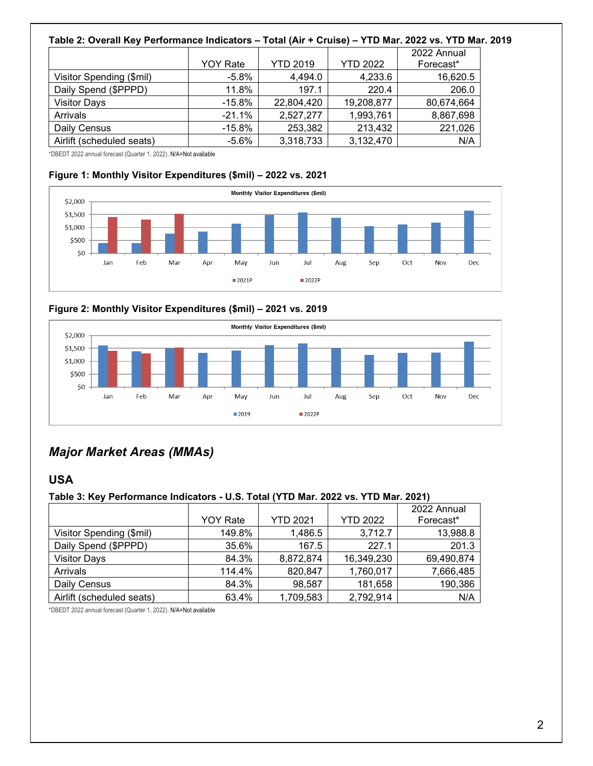#### **Table 2: Overall Key Performance Indicators – Total (Air + Cruise) – YTD Mar. 2022 vs. YTD Mar. 2019** YOY Rate | YTD 2019 | YTD 2022 2022 Annual Forecast\* Visitor Spending (\$mil) | -5.8% | 4,494.0 | 4,233.6 | 16,620.5 Daily Spend (\$PPPD) 11.8% 197.1 220.4 206.0 Visitor Days -15.8% 22,804,420 19,208,877 80,674,664 Arrivals -21.1% 2,527,277 | 1,993,761 | 8,867,698 Daily Census 21,026 253,382 213,432 221,026 Airlift (scheduled seats)  $-5.6\%$  3,318,733 3,132,470 N/A

\*DBEDT 2022 annual forecast (Quarter 1, 2022). N/A=Not available

# **Figure 1: Monthly Visitor Expenditures (\$mil) – 2022 vs. 2021**



# **Figure 2: Monthly Visitor Expenditures (\$mil) – 2021 vs. 2019**



# *Major Market Areas (MMAs)*

# **USA**

# **Table 3: Key Performance Indicators - U.S. Total (YTD Mar. 2022 vs. YTD Mar. 2021)**

|                           |                 |                 |                 | 2022 Annual |
|---------------------------|-----------------|-----------------|-----------------|-------------|
|                           | <b>YOY Rate</b> | <b>YTD 2021</b> | <b>YTD 2022</b> | Forecast*   |
| Visitor Spending (\$mil)  | 149.8%          | 1,486.5         | 3,712.7         | 13,988.8    |
| Daily Spend (\$PPPD)      | 35.6%           | 167.5           | 227.1           | 201.3       |
| <b>Visitor Days</b>       | 84.3%           | 8,872,874       | 16,349,230      | 69,490,874  |
| Arrivals                  | 114.4%          | 820,847         | 1,760,017       | 7,666,485   |
| Daily Census              | 84.3%           | 98,587          | 181,658         | 190,386     |
| Airlift (scheduled seats) | 63.4%           | 1,709,583       | 2,792,914       | N/A         |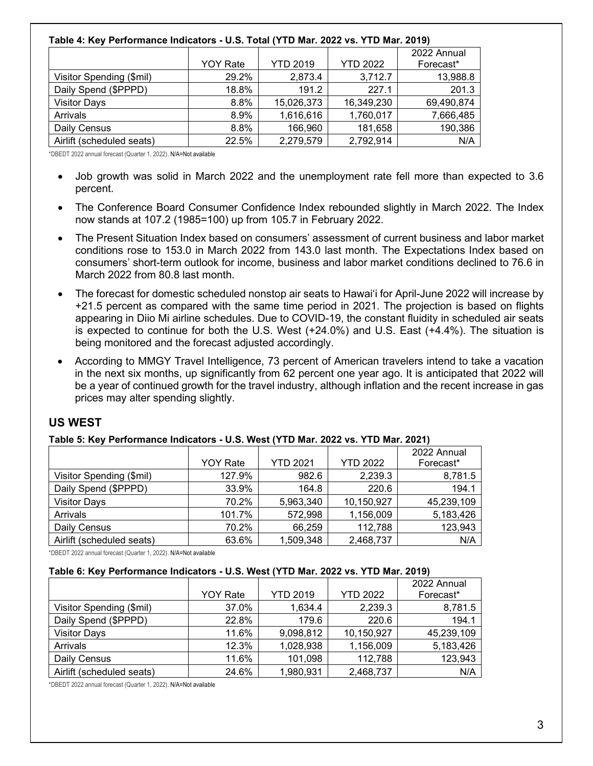## **Table 4: Key Performance Indicators - U.S. Total (YTD Mar. 2022 vs. YTD Mar. 2019)**

|                           |                 |                 |            | 2022 Annual |
|---------------------------|-----------------|-----------------|------------|-------------|
|                           | <b>YOY Rate</b> | <b>YTD 2019</b> | YTD 2022   | Forecast*   |
| Visitor Spending (\$mil)  | 29.2%           | 2,873.4         | 3,712.7    | 13,988.8    |
| Daily Spend (\$PPPD)      | 18.8%           | 191.2           | 227.1      | 201.3       |
| <b>Visitor Days</b>       | 8.8%            | 15,026,373      | 16,349,230 | 69,490,874  |
| Arrivals                  | 8.9%            | 1,616,616       | 1,760,017  | 7,666,485   |
| Daily Census              | 8.8%            | 166,960         | 181,658    | 190,386     |
| Airlift (scheduled seats) | 22.5%           | 2,279,579       | 2,792,914  | N/A         |

\*DBEDT 2022 annual forecast (Quarter 1, 2022). N/A=Not available

- Job growth was solid in March 2022 and the unemployment rate fell more than expected to 3.6 percent.
- The Conference Board Consumer Confidence Index rebounded slightly in March 2022. The Index now stands at 107.2 (1985=100) up from 105.7 in February 2022.
- The Present Situation Index based on consumers' assessment of current business and labor market conditions rose to 153.0 in March 2022 from 143.0 last month. The Expectations Index based on consumers' short-term outlook for income, business and labor market conditions declined to 76.6 in March 2022 from 80.8 last month.
- The forecast for domestic scheduled nonstop air seats to Hawai'i for April-June 2022 will increase by +21.5 percent as compared with the same time period in 2021. The projection is based on flights appearing in Diio Mi airline schedules. Due to COVID-19, the constant fluidity in scheduled air seats is expected to continue for both the U.S. West (+24.0%) and U.S. East (+4.4%). The situation is being monitored and the forecast adjusted accordingly.
- According to MMGY Travel Intelligence, 73 percent of American travelers intend to take a vacation in the next six months, up significantly from 62 percent one year ago. It is anticipated that 2022 will be a year of continued growth for the travel industry, although inflation and the recent increase in gas prices may alter spending slightly.

# **US WEST**

## **Table 5: Key Performance Indicators - U.S. West (YTD Mar. 2022 vs. YTD Mar. 2021)**

|                           |          |                 |                 | 2022 Annual |
|---------------------------|----------|-----------------|-----------------|-------------|
|                           | YOY Rate | <b>YTD 2021</b> | <b>YTD 2022</b> | Forecast*   |
| Visitor Spending (\$mil)  | 127.9%   | 982.6           | 2,239.3         | 8,781.5     |
| Daily Spend (\$PPPD)      | 33.9%    | 164.8           | 220.6           | 194.1       |
| <b>Visitor Days</b>       | 70.2%    | 5,963,340       | 10,150,927      | 45,239,109  |
| Arrivals                  | 101.7%   | 572,998         | 1,156,009       | 5,183,426   |
| Daily Census              | 70.2%    | 66,259          | 112,788         | 123,943     |
| Airlift (scheduled seats) | 63.6%    | 1,509,348       | 2,468,737       | N/A         |

\*DBEDT 2022 annual forecast (Quarter 1, 2022). N/A=Not available

## **Table 6: Key Performance Indicators - U.S. West (YTD Mar. 2022 vs. YTD Mar. 2019)**

|                           |                 |                 |                 | 2022 Annual |
|---------------------------|-----------------|-----------------|-----------------|-------------|
|                           | <b>YOY Rate</b> | <b>YTD 2019</b> | <b>YTD 2022</b> | Forecast*   |
| Visitor Spending (\$mil)  | 37.0%           | 1,634.4         | 2,239.3         | 8,781.5     |
| Daily Spend (\$PPPD)      | 22.8%           | 179.6           | 220.6           | 194.1       |
| <b>Visitor Days</b>       | 11.6%           | 9,098,812       | 10,150,927      | 45,239,109  |
| Arrivals                  | 12.3%           | 1,028,938       | 1,156,009       | 5,183,426   |
| Daily Census              | 11.6%           | 101,098         | 112,788         | 123,943     |
| Airlift (scheduled seats) | 24.6%           | 1,980,931       | 2,468,737       | N/A         |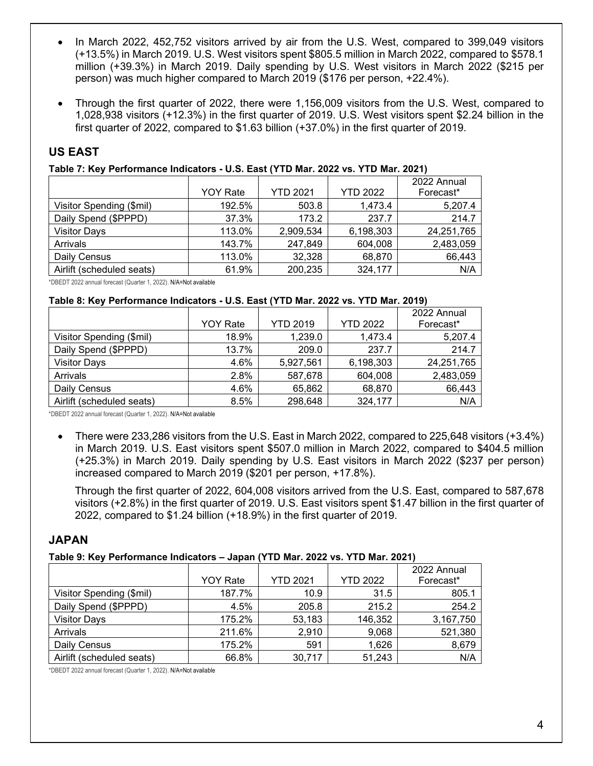- In March 2022, 452,752 visitors arrived by air from the U.S. West, compared to 399,049 visitors (+13.5%) in March 2019. U.S. West visitors spent \$805.5 million in March 2022, compared to \$578.1 million (+39.3%) in March 2019. Daily spending by U.S. West visitors in March 2022 (\$215 per person) was much higher compared to March 2019 (\$176 per person, +22.4%).
- Through the first quarter of 2022, there were 1,156,009 visitors from the U.S. West, compared to 1,028,938 visitors (+12.3%) in the first quarter of 2019. U.S. West visitors spent \$2.24 billion in the first quarter of 2022, compared to \$1.63 billion (+37.0%) in the first quarter of 2019.

# **US EAST**

## **Table 7: Key Performance Indicators - U.S. East (YTD Mar. 2022 vs. YTD Mar. 2021)**

|                           | <b>YOY Rate</b> | <b>YTD 2021</b> | <b>YTD 2022</b> | 2022 Annual<br>Forecast* |
|---------------------------|-----------------|-----------------|-----------------|--------------------------|
| Visitor Spending (\$mil)  | 192.5%          | 503.8           | 1,473.4         | 5,207.4                  |
| Daily Spend (\$PPPD)      | 37.3%           | 173.2           | 237.7           | 214.7                    |
| <b>Visitor Days</b>       | 113.0%          | 2,909,534       | 6,198,303       | 24,251,765               |
| Arrivals                  | 143.7%          | 247,849         | 604,008         | 2,483,059                |
| Daily Census              | 113.0%          | 32,328          | 68,870          | 66,443                   |
| Airlift (scheduled seats) | 61.9%           | 200,235         | 324,177         | N/A                      |

\*DBEDT 2022 annual forecast (Quarter 1, 2022). N/A=Not available

#### **Table 8: Key Performance Indicators - U.S. East (YTD Mar. 2022 vs. YTD Mar. 2019)**

|                           |                 |                 |                 | 2022 Annual |
|---------------------------|-----------------|-----------------|-----------------|-------------|
|                           | <b>YOY Rate</b> | <b>YTD 2019</b> | <b>YTD 2022</b> | Forecast*   |
| Visitor Spending (\$mil)  | 18.9%           | 1,239.0         | 1,473.4         | 5,207.4     |
| Daily Spend (\$PPPD)      | 13.7%           | 209.0           | 237.7           | 214.7       |
| <b>Visitor Days</b>       | 4.6%            | 5,927,561       | 6,198,303       | 24,251,765  |
| Arrivals                  | 2.8%            | 587,678         | 604,008         | 2,483,059   |
| Daily Census              | 4.6%            | 65,862          | 68,870          | 66,443      |
| Airlift (scheduled seats) | 8.5%            | 298,648         | 324,177         | N/A         |

\*DBEDT 2022 annual forecast (Quarter 1, 2022). N/A=Not available

• There were 233,286 visitors from the U.S. East in March 2022, compared to 225,648 visitors (+3.4%) in March 2019. U.S. East visitors spent \$507.0 million in March 2022, compared to \$404.5 million (+25.3%) in March 2019. Daily spending by U.S. East visitors in March 2022 (\$237 per person) increased compared to March 2019 (\$201 per person, +17.8%).

Through the first quarter of 2022, 604,008 visitors arrived from the U.S. East, compared to 587,678 visitors (+2.8%) in the first quarter of 2019. U.S. East visitors spent \$1.47 billion in the first quarter of 2022, compared to \$1.24 billion (+18.9%) in the first quarter of 2019.

## **JAPAN**

## **Table 9: Key Performance Indicators – Japan (YTD Mar. 2022 vs. YTD Mar. 2021)**

|                           |                 |                 |                 | 2022 Annual |
|---------------------------|-----------------|-----------------|-----------------|-------------|
|                           | <b>YOY Rate</b> | <b>YTD 2021</b> | <b>YTD 2022</b> | Forecast*   |
| Visitor Spending (\$mil)  | 187.7%          | 10.9            | 31.5            | 805.1       |
| Daily Spend (\$PPPD)      | 4.5%            | 205.8           | 215.2           | 254.2       |
| <b>Visitor Days</b>       | 175.2%          | 53,183          | 146,352         | 3,167,750   |
| Arrivals                  | 211.6%          | 2,910           | 9,068           | 521,380     |
| Daily Census              | 175.2%          | 591             | 1,626           | 8,679       |
| Airlift (scheduled seats) | 66.8%           | 30,717          | 51,243          | N/A         |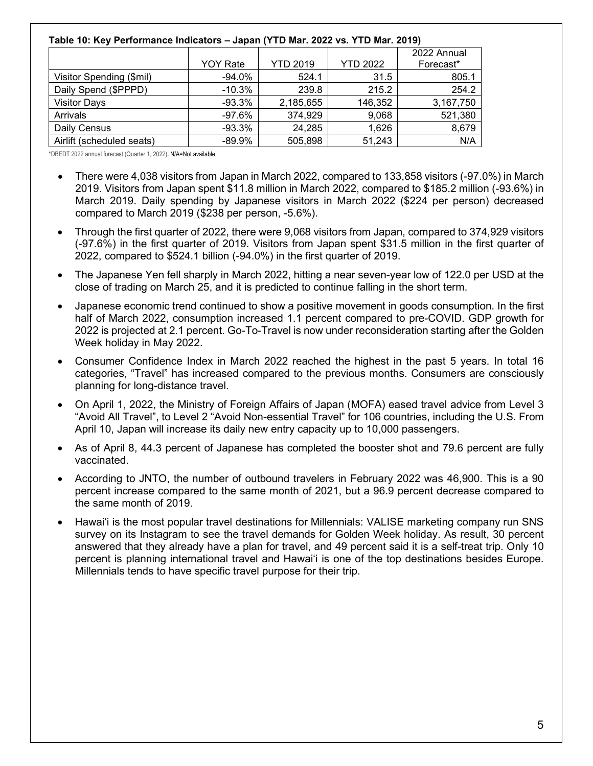## **Table 10: Key Performance Indicators – Japan (YTD Mar. 2022 vs. YTD Mar. 2019)**

|                           |                 |                 |                 | 2022 Annual |
|---------------------------|-----------------|-----------------|-----------------|-------------|
|                           | <b>YOY Rate</b> | <b>YTD 2019</b> | <b>YTD 2022</b> | Forecast*   |
| Visitor Spending (\$mil)  | $-94.0\%$       | 524.1           | 31.5            | 805.1       |
| Daily Spend (\$PPPD)      | $-10.3\%$       | 239.8           | 215.2           | 254.2       |
| <b>Visitor Days</b>       | $-93.3\%$       | 2,185,655       | 146,352         | 3,167,750   |
| Arrivals                  | -97.6%          | 374,929         | 9,068           | 521,380     |
| Daily Census              | -93.3%          | 24,285          | 1,626           | 8,679       |
| Airlift (scheduled seats) | $-89.9\%$       | 505,898         | 51,243          | N/A         |

- There were 4,038 visitors from Japan in March 2022, compared to 133,858 visitors (-97.0%) in March 2019. Visitors from Japan spent \$11.8 million in March 2022, compared to \$185.2 million (-93.6%) in March 2019. Daily spending by Japanese visitors in March 2022 (\$224 per person) decreased compared to March 2019 (\$238 per person, -5.6%).
- Through the first quarter of 2022, there were 9,068 visitors from Japan, compared to 374,929 visitors (-97.6%) in the first quarter of 2019. Visitors from Japan spent \$31.5 million in the first quarter of 2022, compared to \$524.1 billion (-94.0%) in the first quarter of 2019.
- The Japanese Yen fell sharply in March 2022, hitting a near seven-year low of 122.0 per USD at the close of trading on March 25, and it is predicted to continue falling in the short term.
- Japanese economic trend continued to show a positive movement in goods consumption. In the first half of March 2022, consumption increased 1.1 percent compared to pre-COVID. GDP growth for 2022 is projected at 2.1 percent. Go-To-Travel is now under reconsideration starting after the Golden Week holiday in May 2022.
- Consumer Confidence Index in March 2022 reached the highest in the past 5 years. In total 16 categories, "Travel" has increased compared to the previous months. Consumers are consciously planning for long-distance travel.
- On April 1, 2022, the Ministry of Foreign Affairs of Japan (MOFA) eased travel advice from Level 3 "Avoid All Travel", to Level 2 "Avoid Non-essential Travel" for 106 countries, including the U.S. From April 10, Japan will increase its daily new entry capacity up to 10,000 passengers.
- As of April 8, 44.3 percent of Japanese has completed the booster shot and 79.6 percent are fully vaccinated.
- According to JNTO, the number of outbound travelers in February 2022 was 46,900. This is a 90 percent increase compared to the same month of 2021, but a 96.9 percent decrease compared to the same month of 2019.
- Hawaiʻi is the most popular travel destinations for Millennials: VALISE marketing company run SNS survey on its Instagram to see the travel demands for Golden Week holiday. As result, 30 percent answered that they already have a plan for travel, and 49 percent said it is a self-treat trip. Only 10 percent is planning international travel and Hawaiʻi is one of the top destinations besides Europe. Millennials tends to have specific travel purpose for their trip.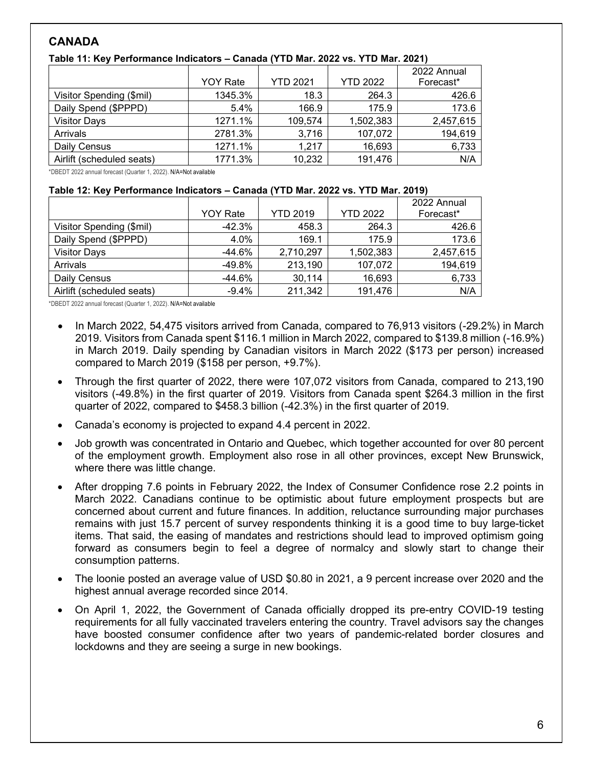# **CANADA**

|                           | <b>YOY Rate</b> | <b>YTD 2021</b> | <b>YTD 2022</b> | 2022 Annual<br>Forecast* |
|---------------------------|-----------------|-----------------|-----------------|--------------------------|
| Visitor Spending (\$mil)  | 1345.3%         | 18.3            | 264.3           | 426.6                    |
| Daily Spend (\$PPPD)      | 5.4%            | 166.9           | 175.9           | 173.6                    |
| <b>Visitor Days</b>       | 1271.1%         | 109,574         | 1,502,383       | 2,457,615                |
| Arrivals                  | 2781.3%         | 3,716           | 107,072         | 194,619                  |
| Daily Census              | 1271.1%         | 1.217           | 16,693          | 6,733                    |
| Airlift (scheduled seats) | 1771.3%         | 10,232          | 191,476         | N/A                      |

#### **Table 11: Key Performance Indicators – Canada (YTD Mar. 2022 vs. YTD Mar. 2021)**

\*DBEDT 2022 annual forecast (Quarter 1, 2022). N/A=Not available

#### **Table 12: Key Performance Indicators – Canada (YTD Mar. 2022 vs. YTD Mar. 2019)**

|                           | <b>YOY Rate</b> | <b>YTD 2019</b> | <b>YTD 2022</b> | 2022 Annual<br>Forecast* |
|---------------------------|-----------------|-----------------|-----------------|--------------------------|
|                           |                 |                 |                 |                          |
| Visitor Spending (\$mil)  | $-42.3%$        | 458.3           | 264.3           | 426.6                    |
| Daily Spend (\$PPPD)      | 4.0%            | 169.1           | 175.9           | 173.6                    |
| <b>Visitor Days</b>       | $-44.6\%$       | 2,710,297       | 1,502,383       | 2,457,615                |
| Arrivals                  | -49.8%          | 213,190         | 107,072         | 194,619                  |
| Daily Census              | $-44.6%$        | 30,114          | 16,693          | 6,733                    |
| Airlift (scheduled seats) | $-9.4%$         | 211,342         | 191,476         | N/A                      |

- In March 2022, 54,475 visitors arrived from Canada, compared to 76,913 visitors (-29.2%) in March 2019. Visitors from Canada spent \$116.1 million in March 2022, compared to \$139.8 million (-16.9%) in March 2019. Daily spending by Canadian visitors in March 2022 (\$173 per person) increased compared to March 2019 (\$158 per person, +9.7%).
- Through the first quarter of 2022, there were 107,072 visitors from Canada, compared to 213,190 visitors (-49.8%) in the first quarter of 2019. Visitors from Canada spent \$264.3 million in the first quarter of 2022, compared to \$458.3 billion (-42.3%) in the first quarter of 2019.
- Canada's economy is projected to expand 4.4 percent in 2022.
- Job growth was concentrated in Ontario and Quebec, which together accounted for over 80 percent of the employment growth. Employment also rose in all other provinces, except New Brunswick, where there was little change.
- After dropping 7.6 points in February 2022, the Index of Consumer Confidence rose 2.2 points in March 2022. Canadians continue to be optimistic about future employment prospects but are concerned about current and future finances. In addition, reluctance surrounding major purchases remains with just 15.7 percent of survey respondents thinking it is a good time to buy large-ticket items. That said, the easing of mandates and restrictions should lead to improved optimism going forward as consumers begin to feel a degree of normalcy and slowly start to change their consumption patterns.
- The loonie posted an average value of USD \$0.80 in 2021, a 9 percent increase over 2020 and the highest annual average recorded since 2014.
- On April 1, 2022, the Government of Canada officially dropped its pre-entry COVID-19 testing requirements for all fully vaccinated travelers entering the country. Travel advisors say the changes have boosted consumer confidence after two years of pandemic-related border closures and lockdowns and they are seeing a surge in new bookings.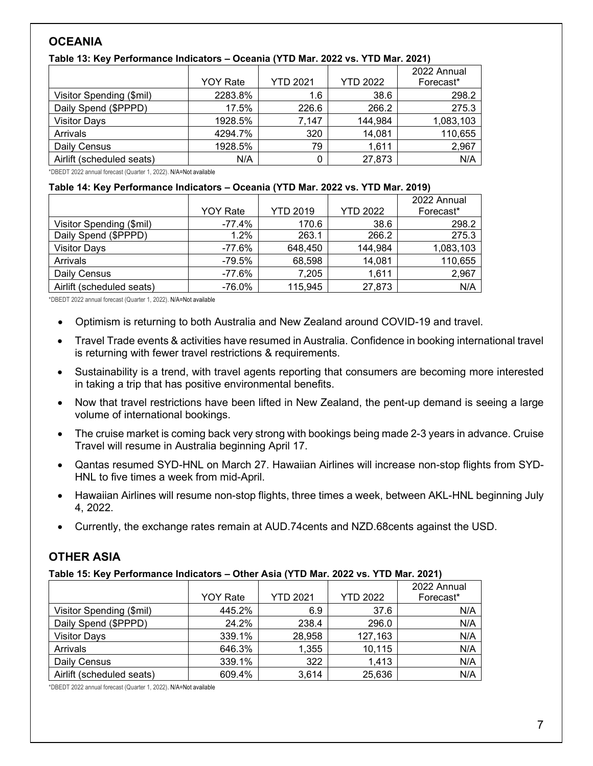# **OCEANIA**

| Table 13: Key Performance Indicators - Oceania (YTD Mar. 2022 vs. YTD Mar. 2021) |  |  |
|----------------------------------------------------------------------------------|--|--|
|----------------------------------------------------------------------------------|--|--|

|                           | <b>YOY Rate</b> | <b>YTD 2021</b> | <b>YTD 2022</b> | 2022 Annual<br>Forecast* |
|---------------------------|-----------------|-----------------|-----------------|--------------------------|
| Visitor Spending (\$mil)  | 2283.8%         | 1.6             | 38.6            | 298.2                    |
| Daily Spend (\$PPPD)      | 17.5%           | 226.6           | 266.2           | 275.3                    |
| <b>Visitor Days</b>       | 1928.5%         | 7.147           | 144,984         | 1,083,103                |
| Arrivals                  | 4294.7%         | 320             | 14,081          | 110,655                  |
| Daily Census              | 1928.5%         | 79              | 1,611           | 2,967                    |
| Airlift (scheduled seats) | N/A             |                 | 27,873          | N/A                      |

\*DBEDT 2022 annual forecast (Quarter 1, 2022). N/A=Not available

#### **Table 14: Key Performance Indicators – Oceania (YTD Mar. 2022 vs. YTD Mar. 2019)**

|                           | <b>YOY Rate</b> | <b>YTD 2019</b> | <b>YTD 2022</b> | 2022 Annual<br>Forecast* |
|---------------------------|-----------------|-----------------|-----------------|--------------------------|
| Visitor Spending (\$mil)  | -77.4%          | 170.6           | 38.6            | 298.2                    |
| Daily Spend (\$PPPD)      | $1.2\%$         | 263.1           | 266.2           | 275.3                    |
| <b>Visitor Days</b>       | -77.6%          | 648,450         | 144,984         | 1,083,103                |
| Arrivals                  | -79.5%          | 68,598          | 14,081          | 110,655                  |
| Daily Census              | $-77.6%$        | 7,205           | 1,611           | 2,967                    |
| Airlift (scheduled seats) | $-76.0%$        | 115,945         | 27,873          | N/A                      |

\*DBEDT 2022 annual forecast (Quarter 1, 2022). N/A=Not available

- Optimism is returning to both Australia and New Zealand around COVID-19 and travel.
- Travel Trade events & activities have resumed in Australia. Confidence in booking international travel is returning with fewer travel restrictions & requirements.
- Sustainability is a trend, with travel agents reporting that consumers are becoming more interested in taking a trip that has positive environmental benefits.
- Now that travel restrictions have been lifted in New Zealand, the pent-up demand is seeing a large volume of international bookings.
- The cruise market is coming back very strong with bookings being made 2-3 years in advance. Cruise Travel will resume in Australia beginning April 17.
- Qantas resumed SYD-HNL on March 27. Hawaiian Airlines will increase non-stop flights from SYD-HNL to five times a week from mid-April.
- Hawaiian Airlines will resume non-stop flights, three times a week, between AKL-HNL beginning July 4, 2022.
- Currently, the exchange rates remain at AUD.74cents and NZD.68cents against the USD.

# **OTHER ASIA**

#### **Table 15: Key Performance Indicators – Other Asia (YTD Mar. 2022 vs. YTD Mar. 2021)**

|                           |                 |                 |                 | 2022 Annual |
|---------------------------|-----------------|-----------------|-----------------|-------------|
|                           | <b>YOY Rate</b> | <b>YTD 2021</b> | <b>YTD 2022</b> | Forecast*   |
| Visitor Spending (\$mil)  | 445.2%          | 6.9             | 37.6            | N/A         |
| Daily Spend (\$PPPD)      | 24.2%           | 238.4           | 296.0           | N/A         |
| <b>Visitor Days</b>       | 339.1%          | 28,958          | 127,163         | N/A         |
| Arrivals                  | 646.3%          | 1,355           | 10,115          | N/A         |
| Daily Census              | 339.1%          | 322             | 1,413           | N/A         |
| Airlift (scheduled seats) | 609.4%          | 3,614           | 25,636          | N/A         |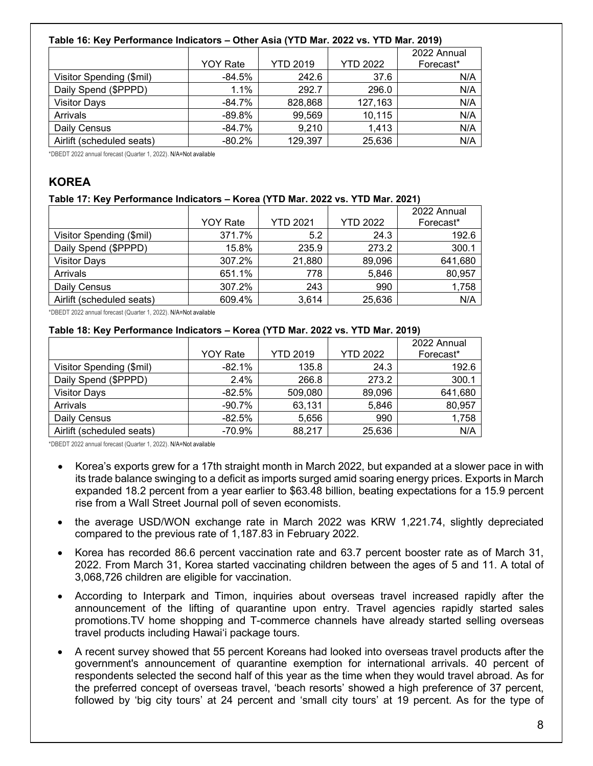## **Table 16: Key Performance Indicators – Other Asia (YTD Mar. 2022 vs. YTD Mar. 2019)**

|                           |                 |                 |                 | 2022 Annual |
|---------------------------|-----------------|-----------------|-----------------|-------------|
|                           | <b>YOY Rate</b> | <b>YTD 2019</b> | <b>YTD 2022</b> | Forecast*   |
| Visitor Spending (\$mil)  | -84.5%          | 242.6           | 37.6            | N/A         |
| Daily Spend (\$PPPD)      | 1.1%            | 292.7           | 296.0           | N/A         |
| <b>Visitor Days</b>       | $-84.7%$        | 828,868         | 127,163         | N/A         |
| Arrivals                  | $-89.8%$        | 99,569          | 10,115          | N/A         |
| Daily Census              | $-84.7%$        | 9,210           | 1,413           | N/A         |
| Airlift (scheduled seats) | $-80.2%$        | 129,397         | 25,636          | N/A         |

\*DBEDT 2022 annual forecast (Quarter 1, 2022). N/A=Not available

# **KOREA**

#### **Table 17: Key Performance Indicators – Korea (YTD Mar. 2022 vs. YTD Mar. 2021)**

|                           | <b>YOY Rate</b> | <b>YTD 2021</b> | <b>YTD 2022</b> | 2022 Annual<br>Forecast* |
|---------------------------|-----------------|-----------------|-----------------|--------------------------|
| Visitor Spending (\$mil)  | 371.7%          | 5.2             | 24.3            | 192.6                    |
| Daily Spend (\$PPPD)      | 15.8%           | 235.9           | 273.2           | 300.1                    |
| <b>Visitor Days</b>       | 307.2%          | 21,880          | 89,096          | 641,680                  |
| Arrivals                  | 651.1%          | 778             | 5,846           | 80,957                   |
| Daily Census              | 307.2%          | 243             | 990             | 1,758                    |
| Airlift (scheduled seats) | 609.4%          | 3,614           | 25,636          | N/A                      |

\*DBEDT 2022 annual forecast (Quarter 1, 2022). N/A=Not available

## **Table 18: Key Performance Indicators – Korea (YTD Mar. 2022 vs. YTD Mar. 2019)**

|                           | <b>YOY Rate</b> | <b>YTD 2019</b> | <b>YTD 2022</b> | 2022 Annual<br>Forecast* |
|---------------------------|-----------------|-----------------|-----------------|--------------------------|
|                           | $-82.1%$        | 135.8           | 24.3            | 192.6                    |
| Visitor Spending (\$mil)  |                 |                 |                 |                          |
| Daily Spend (\$PPPD)      | 2.4%            | 266.8           | 273.2           | 300.1                    |
| <b>Visitor Days</b>       | $-82.5\%$       | 509,080         | 89,096          | 641,680                  |
| Arrivals                  | $-90.7\%$       | 63,131          | 5,846           | 80,957                   |
| Daily Census              | $-82.5%$        | 5,656           | 990             | 1,758                    |
| Airlift (scheduled seats) | -70.9%          | 88,217          | 25,636          | N/A                      |

- Korea's exports grew for a 17th straight month in March 2022, but expanded at a slower pace in with its trade balance swinging to a deficit as imports surged amid soaring energy prices. Exports in March expanded 18.2 percent from a year earlier to \$63.48 billion, beating expectations for a 15.9 percent rise from a Wall Street Journal poll of seven economists.
- the average USD/WON exchange rate in March 2022 was KRW 1,221.74, slightly depreciated compared to the previous rate of 1,187.83 in February 2022.
- Korea has recorded 86.6 percent vaccination rate and 63.7 percent booster rate as of March 31, 2022. From March 31, Korea started vaccinating children between the ages of 5 and 11. A total of 3,068,726 children are eligible for vaccination.
- According to Interpark and Timon, inquiries about overseas travel increased rapidly after the announcement of the lifting of quarantine upon entry. Travel agencies rapidly started sales promotions.TV home shopping and T-commerce channels have already started selling overseas travel products including Hawai'i package tours.
- A recent survey showed that 55 percent Koreans had looked into overseas travel products after the government's announcement of quarantine exemption for international arrivals. 40 percent of respondents selected the second half of this year as the time when they would travel abroad. As for the preferred concept of overseas travel, 'beach resorts' showed a high preference of 37 percent, followed by 'big city tours' at 24 percent and 'small city tours' at 19 percent. As for the type of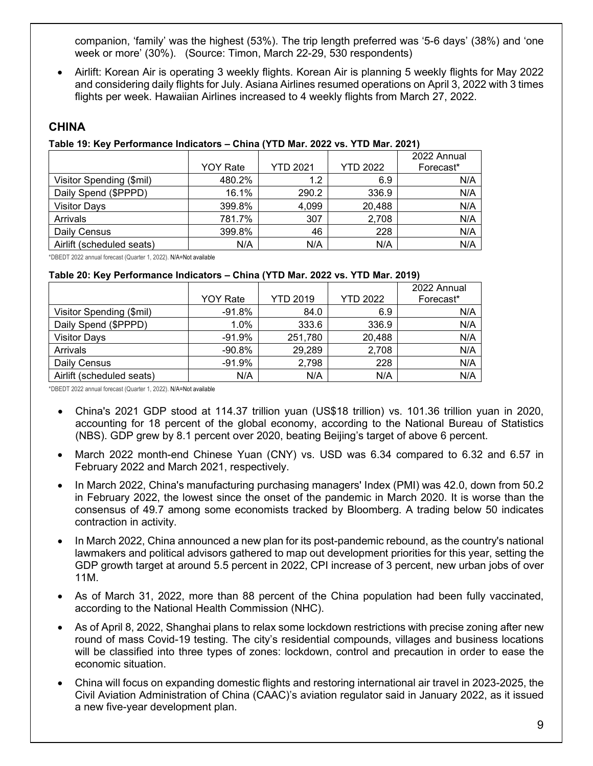companion, 'family' was the highest (53%). The trip length preferred was '5-6 days' (38%) and 'one week or more' (30%). (Source: Timon, March 22-29, 530 respondents)

• Airlift: Korean Air is operating 3 weekly flights. Korean Air is planning 5 weekly flights for May 2022 and considering daily flights for July. Asiana Airlines resumed operations on April 3, 2022 with 3 times flights per week. Hawaiian Airlines increased to 4 weekly flights from March 27, 2022.

# **CHINA**

## **Table 19: Key Performance Indicators – China (YTD Mar. 2022 vs. YTD Mar. 2021)**

|                           | <b>YOY Rate</b> | <b>YTD 2021</b> | <b>YTD 2022</b> | 2022 Annual<br>Forecast* |
|---------------------------|-----------------|-----------------|-----------------|--------------------------|
| Visitor Spending (\$mil)  | 480.2%          | 1.2             | 6.9             | N/A                      |
| Daily Spend (\$PPPD)      | 16.1%           | 290.2           | 336.9           | N/A                      |
| <b>Visitor Days</b>       | 399.8%          | 4,099           | 20,488          | N/A                      |
| Arrivals                  | 781.7%          | 307             | 2,708           | N/A                      |
| Daily Census              | 399.8%          | 46              | 228             | N/A                      |
| Airlift (scheduled seats) | N/A             | N/A             | N/A             | N/A                      |

\*DBEDT 2022 annual forecast (Quarter 1, 2022). N/A=Not available

#### **Table 20: Key Performance Indicators – China (YTD Mar. 2022 vs. YTD Mar. 2019)**

|                           |                 |                 |                 | 2022 Annual |
|---------------------------|-----------------|-----------------|-----------------|-------------|
|                           | <b>YOY Rate</b> | <b>YTD 2019</b> | <b>YTD 2022</b> | Forecast*   |
| Visitor Spending (\$mil)  | -91.8%          | 84.0            | 6.9             | N/A         |
| Daily Spend (\$PPPD)      | $1.0\%$         | 333.6           | 336.9           | N/A         |
| <b>Visitor Days</b>       | $-91.9%$        | 251,780         | 20,488          | N/A         |
| Arrivals                  | $-90.8\%$       | 29,289          | 2,708           | N/A         |
| Daily Census              | -91.9%          | 2,798           | 228             | N/A         |
| Airlift (scheduled seats) | N/A             | N/A             | N/A             | N/A         |

- China's 2021 GDP stood at 114.37 trillion yuan (US\$18 trillion) vs. 101.36 trillion yuan in 2020, accounting for 18 percent of the global economy, according to the National Bureau of Statistics (NBS). GDP grew by 8.1 percent over 2020, beating Beijing's target of above 6 percent.
- March 2022 month-end Chinese Yuan (CNY) vs. USD was 6.34 compared to 6.32 and 6.57 in February 2022 and March 2021, respectively.
- In March 2022, China's manufacturing purchasing managers' Index (PMI) was 42.0, down from 50.2 in February 2022, the lowest since the onset of the pandemic in March 2020. It is worse than the consensus of 49.7 among some economists tracked by Bloomberg. A trading below 50 indicates contraction in activity.
- In March 2022, China announced a new plan for its post-pandemic rebound, as the country's national lawmakers and political advisors gathered to map out development priorities for this year, setting the GDP growth target at around 5.5 percent in 2022, CPI increase of 3 percent, new urban jobs of over 11M.
- As of March 31, 2022, more than 88 percent of the China population had been fully vaccinated, according to the National Health Commission (NHC).
- As of April 8, 2022, Shanghai plans to relax some lockdown restrictions with precise zoning after new round of mass Covid-19 testing. The city's residential compounds, villages and business locations will be classified into three types of zones: lockdown, control and precaution in order to ease the economic situation.
- China will focus on expanding domestic flights and restoring international air travel in 2023-2025, the Civil Aviation Administration of China (CAAC)'s aviation regulator said in January 2022, as it issued a new five-year development plan.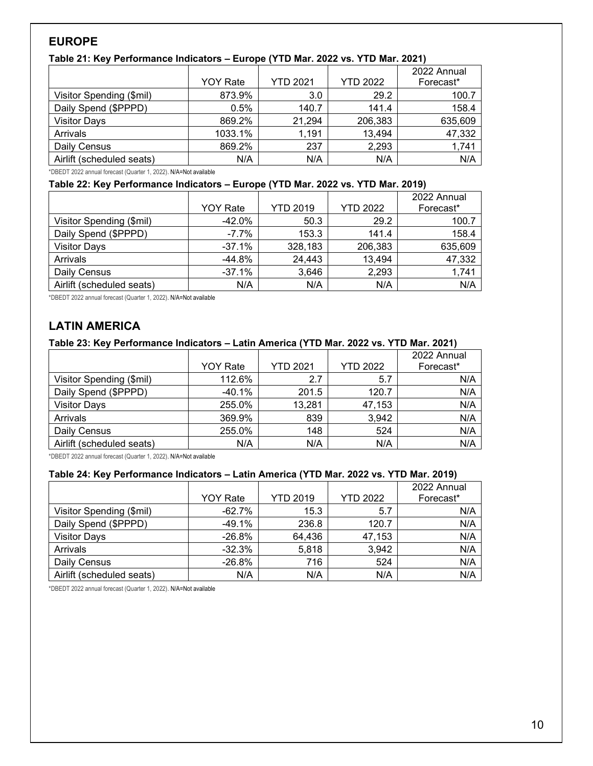# **EUROPE**

## **Table 21: Key Performance Indicators – Europe (YTD Mar. 2022 vs. YTD Mar. 2021)**

|                           | <b>YOY Rate</b> | <b>YTD 2021</b> | <b>YTD 2022</b> | 2022 Annual<br>Forecast* |
|---------------------------|-----------------|-----------------|-----------------|--------------------------|
| Visitor Spending (\$mil)  | 873.9%          | 3.0             | 29.2            | 100.7                    |
| Daily Spend (\$PPPD)      | 0.5%            | 140.7           | 141.4           | 158.4                    |
| <b>Visitor Days</b>       | 869.2%          | 21,294          | 206,383         | 635,609                  |
| Arrivals                  | 1033.1%         | 1,191           | 13,494          | 47,332                   |
| Daily Census              | 869.2%          | 237             | 2,293           | 1,741                    |
| Airlift (scheduled seats) | N/A             | N/A             | N/A             | N/A                      |

\*DBEDT 2022 annual forecast (Quarter 1, 2022). N/A=Not available

#### **Table 22: Key Performance Indicators – Europe (YTD Mar. 2022 vs. YTD Mar. 2019)**

|                           | <b>YOY Rate</b> | <b>YTD 2019</b> | <b>YTD 2022</b> | 2022 Annual<br>Forecast* |
|---------------------------|-----------------|-----------------|-----------------|--------------------------|
|                           |                 |                 |                 |                          |
| Visitor Spending (\$mil)  | $-42.0\%$       | 50.3            | 29.2            | 100.7                    |
| Daily Spend (\$PPPD)      | $-7.7\%$        | 153.3           | 141.4           | 158.4                    |
| <b>Visitor Days</b>       | $-37.1%$        | 328,183         | 206,383         | 635,609                  |
| Arrivals                  | $-44.8%$        | 24,443          | 13,494          | 47,332                   |
| Daily Census              | $-37.1%$        | 3,646           | 2,293           | 1,741                    |
| Airlift (scheduled seats) | N/A             | N/A             | N/A             | N/A                      |

\*DBEDT 2022 annual forecast (Quarter 1, 2022). N/A=Not available

# **LATIN AMERICA**

## **Table 23: Key Performance Indicators – Latin America (YTD Mar. 2022 vs. YTD Mar. 2021)**

|                           | <b>YOY Rate</b> | <b>YTD 2021</b> | <b>YTD 2022</b> | 2022 Annual<br>Forecast* |
|---------------------------|-----------------|-----------------|-----------------|--------------------------|
| Visitor Spending (\$mil)  | 112.6%          | 2.7             | 5.7             | N/A                      |
| Daily Spend (\$PPPD)      | $-40.1%$        | 201.5           | 120.7           | N/A                      |
| <b>Visitor Days</b>       | 255.0%          | 13,281          | 47,153          | N/A                      |
| Arrivals                  | 369.9%          | 839             | 3,942           | N/A                      |
| Daily Census              | 255.0%          | 148             | 524             | N/A                      |
| Airlift (scheduled seats) | N/A             | N/A             | N/A             | N/A                      |

\*DBEDT 2022 annual forecast (Quarter 1, 2022). N/A=Not available

# **Table 24: Key Performance Indicators – Latin America (YTD Mar. 2022 vs. YTD Mar. 2019)**

|                           |                 |                 |                 | 2022 Annual |
|---------------------------|-----------------|-----------------|-----------------|-------------|
|                           | <b>YOY Rate</b> | <b>YTD 2019</b> | <b>YTD 2022</b> | Forecast*   |
| Visitor Spending (\$mil)  | $-62.7\%$       | 15.3            | 5.7             | N/A         |
| Daily Spend (\$PPPD)      | $-49.1%$        | 236.8           | 120.7           | N/A         |
| <b>Visitor Days</b>       | $-26.8%$        | 64,436          | 47,153          | N/A         |
| Arrivals                  | $-32.3%$        | 5,818           | 3,942           | N/A         |
| Daily Census              | $-26.8%$        | 716             | 524             | N/A         |
| Airlift (scheduled seats) | N/A             | N/A             | N/A             | N/A         |